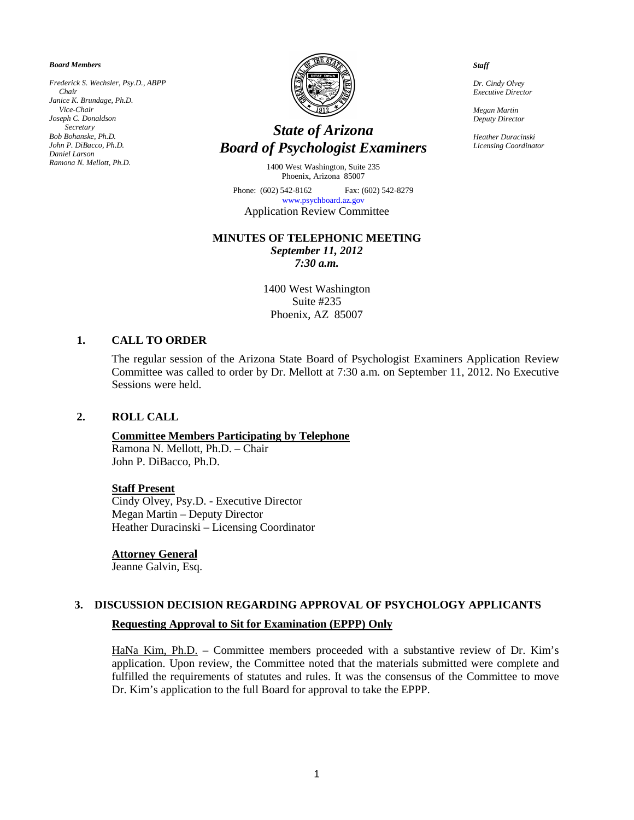*Board Members*

*Frederick S. Wechsler, Psy.D., ABPP Chair Janice K. Brundage, Ph.D. Vice-Chair Joseph C. Donaldson Secretary Bob Bohanske, Ph.D. John P. DiBacco, Ph.D. Daniel Larson Ramona N. Mellott, Ph.D.*



## *State of Arizona Board of Psychologist Examiners*

1400 West Washington, Suite 235 Phoenix, Arizona 85007

Phone: (602) 542-8162 Fax: (602) 542-8279 [www.psychboard.az.gov](http://www.psychboard.az.gov/)  Application Review Committee

### **MINUTES OF TELEPHONIC MEETING**

*September 11, 2012 7:30 a.m.*

1400 West Washington Suite #235 Phoenix, AZ 85007

## **1. CALL TO ORDER**

The regular session of the Arizona State Board of Psychologist Examiners Application Review Committee was called to order by Dr. Mellott at 7:30 a.m. on September 11, 2012. No Executive Sessions were held.

#### **2. ROLL CALL**

#### **Committee Members Participating by Telephone**

Ramona N. Mellott, Ph.D. – Chair John P. DiBacco, Ph.D.

#### **Staff Present**

Cindy Olvey, Psy.D. - Executive Director Megan Martin – Deputy Director Heather Duracinski – Licensing Coordinator

#### **Attorney General**

Jeanne Galvin, Esq.

# **3. DISCUSSION DECISION REGARDING APPROVAL OF PSYCHOLOGY APPLICANTS**

#### **Requesting Approval to Sit for Examination (EPPP) Only**

HaNa Kim, Ph.D. - Committee members proceeded with a substantive review of Dr. Kim's application. Upon review, the Committee noted that the materials submitted were complete and fulfilled the requirements of statutes and rules. It was the consensus of the Committee to move Dr. Kim's application to the full Board for approval to take the EPPP.

*Staff*

*Dr. Cindy Olvey Executive Director*

*Megan Martin Deputy Director*

*Heather Duracinski Licensing Coordinator*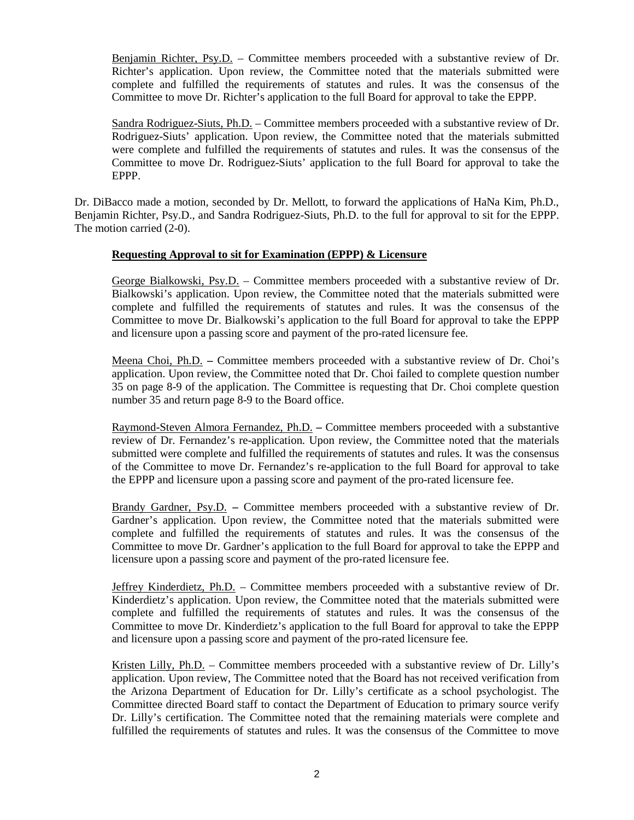Benjamin Richter, Psy.D. – Committee members proceeded with a substantive review of Dr. Richter's application. Upon review, the Committee noted that the materials submitted were complete and fulfilled the requirements of statutes and rules. It was the consensus of the Committee to move Dr. Richter's application to the full Board for approval to take the EPPP.

Sandra Rodriguez-Siuts, Ph.D. – Committee members proceeded with a substantive review of Dr. Rodriguez-Siuts' application. Upon review, the Committee noted that the materials submitted were complete and fulfilled the requirements of statutes and rules. It was the consensus of the Committee to move Dr. Rodriguez-Siuts' application to the full Board for approval to take the EPPP.

Dr. DiBacco made a motion, seconded by Dr. Mellott, to forward the applications of HaNa Kim, Ph.D., Benjamin Richter, Psy.D., and Sandra Rodriguez-Siuts, Ph.D. to the full for approval to sit for the EPPP. The motion carried (2-0).

## **Requesting Approval to sit for Examination (EPPP) & Licensure**

George Bialkowski, Psy.D. – Committee members proceeded with a substantive review of Dr. Bialkowski's application. Upon review, the Committee noted that the materials submitted were complete and fulfilled the requirements of statutes and rules. It was the consensus of the Committee to move Dr. Bialkowski's application to the full Board for approval to take the EPPP and licensure upon a passing score and payment of the pro-rated licensure fee.

Meena Choi, Ph.D. **–** Committee members proceeded with a substantive review of Dr. Choi's application. Upon review, the Committee noted that Dr. Choi failed to complete question number 35 on page 8-9 of the application. The Committee is requesting that Dr. Choi complete question number 35 and return page 8-9 to the Board office.

Raymond-Steven Almora Fernandez, Ph.D. **–** Committee members proceeded with a substantive review of Dr. Fernandez's re-application. Upon review, the Committee noted that the materials submitted were complete and fulfilled the requirements of statutes and rules. It was the consensus of the Committee to move Dr. Fernandez's re-application to the full Board for approval to take the EPPP and licensure upon a passing score and payment of the pro-rated licensure fee.

Brandy Gardner, Psy.D. **–** Committee members proceeded with a substantive review of Dr. Gardner's application. Upon review, the Committee noted that the materials submitted were complete and fulfilled the requirements of statutes and rules. It was the consensus of the Committee to move Dr. Gardner's application to the full Board for approval to take the EPPP and licensure upon a passing score and payment of the pro-rated licensure fee.

Jeffrey Kinderdietz, Ph.D. – Committee members proceeded with a substantive review of Dr. Kinderdietz's application. Upon review, the Committee noted that the materials submitted were complete and fulfilled the requirements of statutes and rules. It was the consensus of the Committee to move Dr. Kinderdietz's application to the full Board for approval to take the EPPP and licensure upon a passing score and payment of the pro-rated licensure fee.

Kristen Lilly, Ph.D. – Committee members proceeded with a substantive review of Dr. Lilly's application. Upon review, The Committee noted that the Board has not received verification from the Arizona Department of Education for Dr. Lilly's certificate as a school psychologist. The Committee directed Board staff to contact the Department of Education to primary source verify Dr. Lilly's certification. The Committee noted that the remaining materials were complete and fulfilled the requirements of statutes and rules. It was the consensus of the Committee to move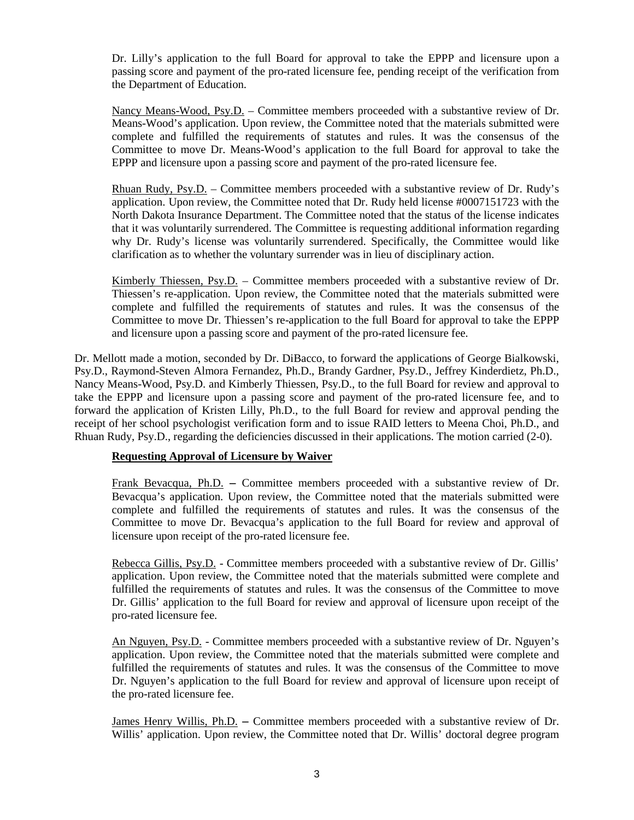Dr. Lilly's application to the full Board for approval to take the EPPP and licensure upon a passing score and payment of the pro-rated licensure fee, pending receipt of the verification from the Department of Education.

Nancy Means-Wood, Psy.D. – Committee members proceeded with a substantive review of Dr. Means-Wood's application. Upon review, the Committee noted that the materials submitted were complete and fulfilled the requirements of statutes and rules. It was the consensus of the Committee to move Dr. Means-Wood's application to the full Board for approval to take the EPPP and licensure upon a passing score and payment of the pro-rated licensure fee.

Rhuan Rudy, Psy.D. – Committee members proceeded with a substantive review of Dr. Rudy's application. Upon review, the Committee noted that Dr. Rudy held license #0007151723 with the North Dakota Insurance Department. The Committee noted that the status of the license indicates that it was voluntarily surrendered. The Committee is requesting additional information regarding why Dr. Rudy's license was voluntarily surrendered. Specifically, the Committee would like clarification as to whether the voluntary surrender was in lieu of disciplinary action.

Kimberly Thiessen, Psy.D. – Committee members proceeded with a substantive review of Dr. Thiessen's re-application. Upon review, the Committee noted that the materials submitted were complete and fulfilled the requirements of statutes and rules. It was the consensus of the Committee to move Dr. Thiessen's re-application to the full Board for approval to take the EPPP and licensure upon a passing score and payment of the pro-rated licensure fee.

Dr. Mellott made a motion, seconded by Dr. DiBacco, to forward the applications of George Bialkowski, Psy.D., Raymond-Steven Almora Fernandez, Ph.D., Brandy Gardner, Psy.D., Jeffrey Kinderdietz, Ph.D., Nancy Means-Wood, Psy.D. and Kimberly Thiessen, Psy.D., to the full Board for review and approval to take the EPPP and licensure upon a passing score and payment of the pro-rated licensure fee, and to forward the application of Kristen Lilly, Ph.D., to the full Board for review and approval pending the receipt of her school psychologist verification form and to issue RAID letters to Meena Choi, Ph.D., and Rhuan Rudy, Psy.D., regarding the deficiencies discussed in their applications. The motion carried (2-0).

## **Requesting Approval of Licensure by Waiver**

Frank Bevacqua, Ph.D. **–** Committee members proceeded with a substantive review of Dr. Bevacqua's application. Upon review, the Committee noted that the materials submitted were complete and fulfilled the requirements of statutes and rules. It was the consensus of the Committee to move Dr. Bevacqua's application to the full Board for review and approval of licensure upon receipt of the pro-rated licensure fee.

Rebecca Gillis, Psy.D. - Committee members proceeded with a substantive review of Dr. Gillis' application. Upon review, the Committee noted that the materials submitted were complete and fulfilled the requirements of statutes and rules. It was the consensus of the Committee to move Dr. Gillis' application to the full Board for review and approval of licensure upon receipt of the pro-rated licensure fee.

An Nguyen, Psy.D. - Committee members proceeded with a substantive review of Dr. Nguyen's application. Upon review, the Committee noted that the materials submitted were complete and fulfilled the requirements of statutes and rules. It was the consensus of the Committee to move Dr. Nguyen's application to the full Board for review and approval of licensure upon receipt of the pro-rated licensure fee.

James Henry Willis, Ph.D. **–** Committee members proceeded with a substantive review of Dr. Willis' application. Upon review, the Committee noted that Dr. Willis' doctoral degree program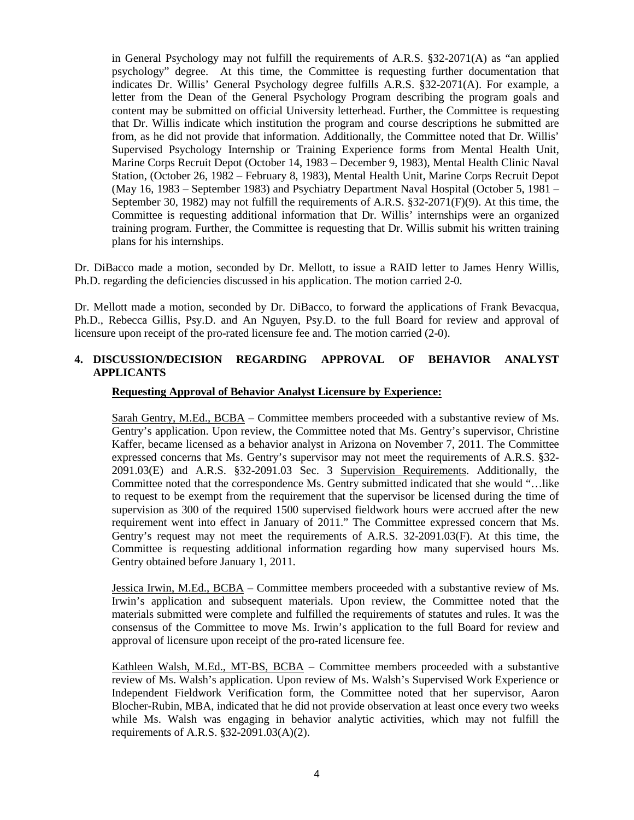in General Psychology may not fulfill the requirements of A.R.S. §32-2071(A) as "an applied psychology" degree. At this time, the Committee is requesting further documentation that indicates Dr. Willis' General Psychology degree fulfills A.R.S. §32-2071(A). For example, a letter from the Dean of the General Psychology Program describing the program goals and content may be submitted on official University letterhead. Further, the Committee is requesting that Dr. Willis indicate which institution the program and course descriptions he submitted are from, as he did not provide that information. Additionally, the Committee noted that Dr. Willis' Supervised Psychology Internship or Training Experience forms from Mental Health Unit, Marine Corps Recruit Depot (October 14, 1983 – December 9, 1983), Mental Health Clinic Naval Station, (October 26, 1982 – February 8, 1983), Mental Health Unit, Marine Corps Recruit Depot (May 16, 1983 – September 1983) and Psychiatry Department Naval Hospital (October 5, 1981 – September 30, 1982) may not fulfill the requirements of A.R.S. §32-2071(F)(9). At this time, the Committee is requesting additional information that Dr. Willis' internships were an organized training program. Further, the Committee is requesting that Dr. Willis submit his written training plans for his internships.

Dr. DiBacco made a motion, seconded by Dr. Mellott, to issue a RAID letter to James Henry Willis, Ph.D. regarding the deficiencies discussed in his application. The motion carried 2-0.

Dr. Mellott made a motion, seconded by Dr. DiBacco, to forward the applications of Frank Bevacqua, Ph.D., Rebecca Gillis, Psy.D. and An Nguyen, Psy.D. to the full Board for review and approval of licensure upon receipt of the pro-rated licensure fee and. The motion carried (2-0).

## **4. DISCUSSION/DECISION REGARDING APPROVAL OF BEHAVIOR ANALYST APPLICANTS**

### **Requesting Approval of Behavior Analyst Licensure by Experience:**

Sarah Gentry, M.Ed., BCBA – Committee members proceeded with a substantive review of Ms. Gentry's application. Upon review, the Committee noted that Ms. Gentry's supervisor, Christine Kaffer, became licensed as a behavior analyst in Arizona on November 7, 2011. The Committee expressed concerns that Ms. Gentry's supervisor may not meet the requirements of A.R.S. §32- 2091.03(E) and A.R.S. §32-2091.03 Sec. 3 Supervision Requirements. Additionally, the Committee noted that the correspondence Ms. Gentry submitted indicated that she would "…like to request to be exempt from the requirement that the supervisor be licensed during the time of supervision as 300 of the required 1500 supervised fieldwork hours were accrued after the new requirement went into effect in January of 2011." The Committee expressed concern that Ms. Gentry's request may not meet the requirements of A.R.S. 32-2091.03(F). At this time, the Committee is requesting additional information regarding how many supervised hours Ms. Gentry obtained before January 1, 2011.

Jessica Irwin, M.Ed., BCBA – Committee members proceeded with a substantive review of Ms. Irwin's application and subsequent materials. Upon review, the Committee noted that the materials submitted were complete and fulfilled the requirements of statutes and rules. It was the consensus of the Committee to move Ms. Irwin's application to the full Board for review and approval of licensure upon receipt of the pro-rated licensure fee.

Kathleen Walsh, M.Ed., MT-BS, BCBA – Committee members proceeded with a substantive review of Ms. Walsh's application. Upon review of Ms. Walsh's Supervised Work Experience or Independent Fieldwork Verification form, the Committee noted that her supervisor, Aaron Blocher-Rubin, MBA, indicated that he did not provide observation at least once every two weeks while Ms. Walsh was engaging in behavior analytic activities, which may not fulfill the requirements of A.R.S. §32-2091.03(A)(2).